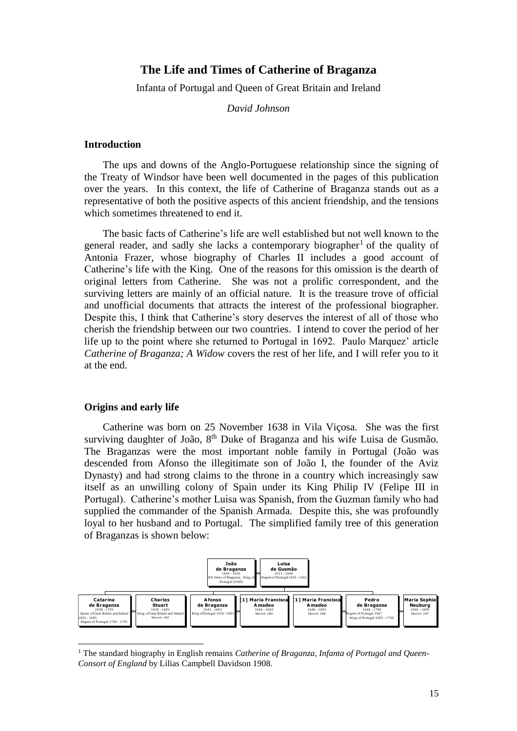# **The Life and Times of Catherine of Braganza**

Infanta of Portugal and Queen of Great Britain and Ireland

*David Johnson*

### **Introduction**

The ups and downs of the Anglo-Portuguese relationship since the signing of the Treaty of Windsor have been well documented in the pages of this publication over the years. In this context, the life of Catherine of Braganza stands out as a representative of both the positive aspects of this ancient friendship, and the tensions which sometimes threatened to end it.

The basic facts of Catherine's life are well established but not well known to the general reader, and sadly she lacks a contemporary biographer<sup>1</sup> of the quality of Antonia Frazer, whose biography of Charles II includes a good account of Catherine's life with the King. One of the reasons for this omission is the dearth of original letters from Catherine. She was not a prolific correspondent, and the surviving letters are mainly of an official nature. It is the treasure trove of official and unofficial documents that attracts the interest of the professional biographer. Despite this, I think that Catherine's story deserves the interest of all of those who cherish the friendship between our two countries. I intend to cover the period of her life up to the point where she returned to Portugal in 1692. Paulo Marquez' article *Catherine of Braganza; A Widow* covers the rest of her life, and I will refer you to it at the end.

## **Origins and early life**

 $\overline{a}$ 

Catherine was born on 25 November 1638 in Vila Viçosa. She was the first surviving daughter of João, 8<sup>th</sup> Duke of Braganza and his wife Luisa de Gusmão. The Braganzas were the most important noble family in Portugal (João was descended from Afonso the illegitimate son of João I, the founder of the Aviz Dynasty) and had strong claims to the throne in a country which increasingly saw itself as an unwilling colony of Spain under its King Philip IV (Felipe III in Portugal). Catherine's mother Luisa was Spanish, from the Guzman family who had supplied the commander of the Spanish Armada. Despite this, she was profoundly loyal to her husband and to Portugal. The simplified family tree of this generation of Braganzas is shown below:



<sup>&</sup>lt;sup>1</sup> The standard biography in English remains *Catherine of Braganza*, *Infanta of Portugal and Oueen-Consort of England* by Lilias Campbell Davidson 1908.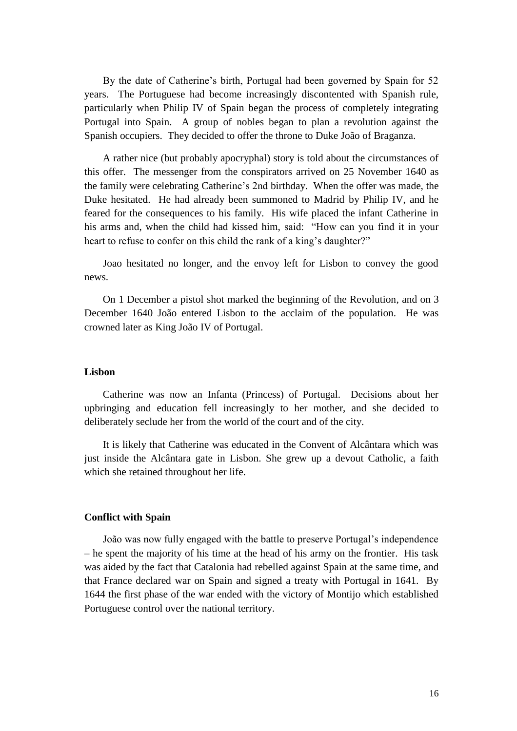By the date of Catherine's birth, Portugal had been governed by Spain for 52 years. The Portuguese had become increasingly discontented with Spanish rule, particularly when Philip IV of Spain began the process of completely integrating Portugal into Spain. A group of nobles began to plan a revolution against the Spanish occupiers. They decided to offer the throne to Duke João of Braganza.

A rather nice (but probably apocryphal) story is told about the circumstances of this offer. The messenger from the conspirators arrived on 25 November 1640 as the family were celebrating Catherine's 2nd birthday. When the offer was made, the Duke hesitated. He had already been summoned to Madrid by Philip IV, and he feared for the consequences to his family. His wife placed the infant Catherine in his arms and, when the child had kissed him, said: "How can you find it in your heart to refuse to confer on this child the rank of a king's daughter?"

Joao hesitated no longer, and the envoy left for Lisbon to convey the good news.

On 1 December a pistol shot marked the beginning of the Revolution, and on 3 December 1640 João entered Lisbon to the acclaim of the population. He was crowned later as King João IV of Portugal.

### **Lisbon**

Catherine was now an Infanta (Princess) of Portugal. Decisions about her upbringing and education fell increasingly to her mother, and she decided to deliberately seclude her from the world of the court and of the city.

It is likely that Catherine was educated in the Convent of Alcântara which was just inside the Alcântara gate in Lisbon. She grew up a devout Catholic, a faith which she retained throughout her life.

## **Conflict with Spain**

João was now fully engaged with the battle to preserve Portugal's independence – he spent the majority of his time at the head of his army on the frontier. His task was aided by the fact that Catalonia had rebelled against Spain at the same time, and that France declared war on Spain and signed a treaty with Portugal in 1641. By 1644 the first phase of the war ended with the victory of Montijo which established Portuguese control over the national territory.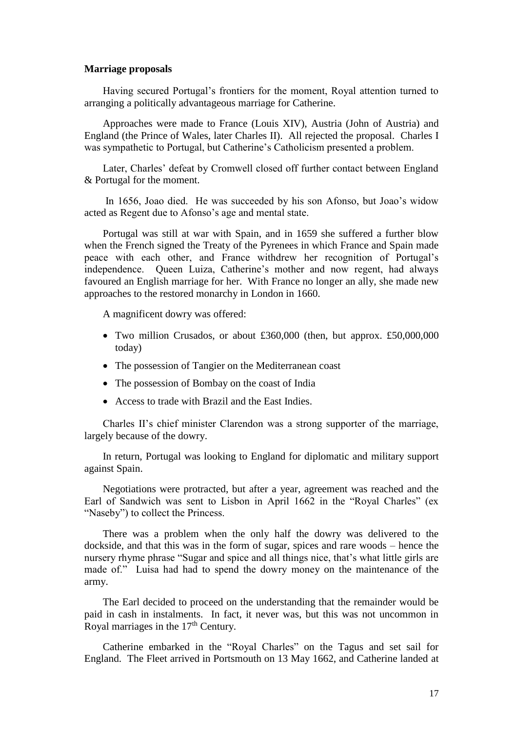#### **Marriage proposals**

Having secured Portugal's frontiers for the moment, Royal attention turned to arranging a politically advantageous marriage for Catherine.

Approaches were made to France (Louis XIV), Austria (John of Austria) and England (the Prince of Wales, later Charles II). All rejected the proposal. Charles I was sympathetic to Portugal, but Catherine's Catholicism presented a problem.

Later, Charles' defeat by Cromwell closed off further contact between England & Portugal for the moment.

In 1656, Joao died. He was succeeded by his son Afonso, but Joao's widow acted as Regent due to Afonso's age and mental state.

Portugal was still at war with Spain, and in 1659 she suffered a further blow when the French signed the Treaty of the Pyrenees in which France and Spain made peace with each other, and France withdrew her recognition of Portugal's independence. Queen Luiza, Catherine's mother and now regent, had always favoured an English marriage for her. With France no longer an ally, she made new approaches to the restored monarchy in London in 1660.

A magnificent dowry was offered:

- Two million Crusados, or about £360,000 (then, but approx. £50,000,000 today)
- The possession of Tangier on the Mediterranean coast
- The possession of Bombay on the coast of India
- Access to trade with Brazil and the East Indies.

Charles II's chief minister Clarendon was a strong supporter of the marriage, largely because of the dowry.

In return, Portugal was looking to England for diplomatic and military support against Spain.

Negotiations were protracted, but after a year, agreement was reached and the Earl of Sandwich was sent to Lisbon in April 1662 in the "Royal Charles" (ex "Naseby") to collect the Princess.

There was a problem when the only half the dowry was delivered to the dockside, and that this was in the form of sugar, spices and rare woods – hence the nursery rhyme phrase "Sugar and spice and all things nice, that's what little girls are made of." Luisa had had to spend the dowry money on the maintenance of the army.

The Earl decided to proceed on the understanding that the remainder would be paid in cash in instalments. In fact, it never was, but this was not uncommon in Royal marriages in the  $17<sup>th</sup>$  Century.

Catherine embarked in the "Royal Charles" on the Tagus and set sail for England. The Fleet arrived in Portsmouth on 13 May 1662, and Catherine landed at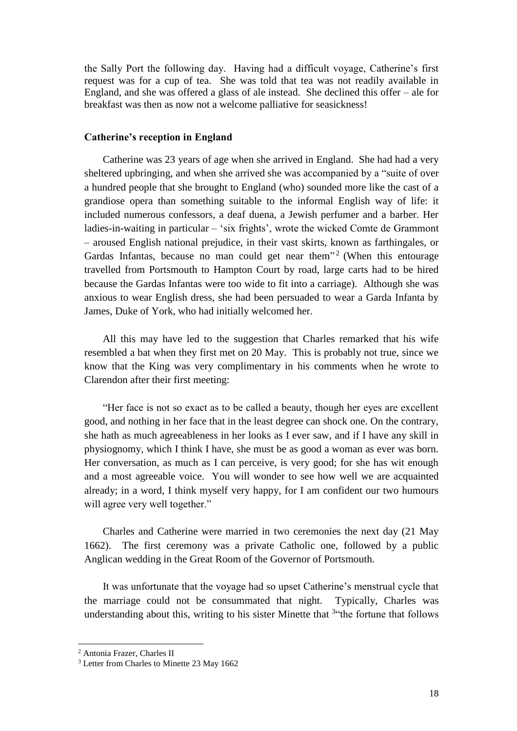the Sally Port the following day. Having had a difficult voyage, Catherine's first request was for a cup of tea. She was told that tea was not readily available in England, and she was offered a glass of ale instead. She declined this offer – ale for breakfast was then as now not a welcome palliative for seasickness!

## **Catherine's reception in England**

Catherine was 23 years of age when she arrived in England. She had had a very sheltered upbringing, and when she arrived she was accompanied by a "suite of over a hundred people that she brought to England (who) sounded more like the cast of a grandiose opera than something suitable to the informal English way of life: it included numerous confessors, a deaf duena, a Jewish perfumer and a barber. Her ladies-in-waiting in particular – 'six frights', wrote the wicked Comte de Grammont – aroused English national prejudice, in their vast skirts, known as farthingales, or Gardas Infantas, because no man could get near them<sup>32</sup> (When this entourage travelled from Portsmouth to Hampton Court by road, large carts had to be hired because the Gardas Infantas were too wide to fit into a carriage). Although she was anxious to wear English dress, she had been persuaded to wear a Garda Infanta by James, Duke of York, who had initially welcomed her.

All this may have led to the suggestion that Charles remarked that his wife resembled a bat when they first met on 20 May. This is probably not true, since we know that the King was very complimentary in his comments when he wrote to Clarendon after their first meeting:

"Her face is not so exact as to be called a beauty, though her eyes are excellent good, and nothing in her face that in the least degree can shock one. On the contrary, she hath as much agreeableness in her looks as I ever saw, and if I have any skill in physiognomy, which I think I have, she must be as good a woman as ever was born. Her conversation, as much as I can perceive, is very good; for she has wit enough and a most agreeable voice. You will wonder to see how well we are acquainted already; in a word, I think myself very happy, for I am confident our two humours will agree very well together."

Charles and Catherine were married in two ceremonies the next day (21 May 1662). The first ceremony was a private Catholic one, followed by a public Anglican wedding in the Great Room of the Governor of Portsmouth.

It was unfortunate that the voyage had so upset Catherine's menstrual cycle that the marriage could not be consummated that night. Typically, Charles was understanding about this, writing to his sister Minette that  $3$ "the fortune that follows

<sup>2</sup> Antonia Frazer, Charles II

<sup>&</sup>lt;sup>3</sup> Letter from Charles to Minette 23 May 1662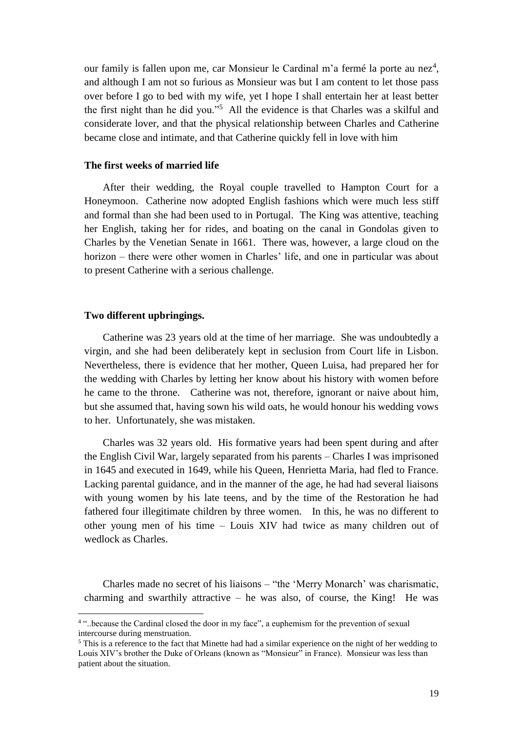our family is fallen upon me, car Monsieur le Cardinal m'a fermé la porte au nez<sup>4</sup>, and although I am not so furious as Monsieur was but I am content to let those pass over before I go to bed with my wife, yet I hope I shall entertain her at least better the first night than he did you."<sup>5</sup> All the evidence is that Charles was a skilful and considerate lover, and that the physical relationship between Charles and Catherine became close and intimate, and that Catherine quickly fell in love with him

### **The first weeks of married life**

After their wedding, the Royal couple travelled to Hampton Court for a Honeymoon. Catherine now adopted English fashions which were much less stiff and formal than she had been used to in Portugal. The King was attentive, teaching her English, taking her for rides, and boating on the canal in Gondolas given to Charles by the Venetian Senate in 1661. There was, however, a large cloud on the horizon – there were other women in Charles' life, and one in particular was about to present Catherine with a serious challenge.

#### **Two different upbringings.**

Catherine was 23 years old at the time of her marriage. She was undoubtedly a virgin, and she had been deliberately kept in seclusion from Court life in Lisbon. Nevertheless, there is evidence that her mother, Queen Luisa, had prepared her for the wedding with Charles by letting her know about his history with women before he came to the throne. Catherine was not, therefore, ignorant or naive about him, but she assumed that, having sown his wild oats, he would honour his wedding vows to her. Unfortunately, she was mistaken.

Charles was 32 years old. His formative years had been spent during and after the English Civil War, largely separated from his parents – Charles I was imprisoned in 1645 and executed in 1649, while his Queen, Henrietta Maria, had fled to France. Lacking parental guidance, and in the manner of the age, he had had several liaisons with young women by his late teens, and by the time of the Restoration he had fathered four illegitimate children by three women. In this, he was no different to other young men of his time – Louis XIV had twice as many children out of wedlock as Charles.

Charles made no secret of his liaisons – "the 'Merry Monarch' was charismatic, charming and swarthily attractive  $-$  he was also, of course, the King! He was

<sup>4</sup> "..because the Cardinal closed the door in my face", a euphemism for the prevention of sexual intercourse during menstruation.

<sup>&</sup>lt;sup>5</sup> This is a reference to the fact that Minette had had a similar experience on the night of her wedding to Louis XIV's brother the Duke of Orleans (known as "Monsieur" in France). Monsieur was less than patient about the situation.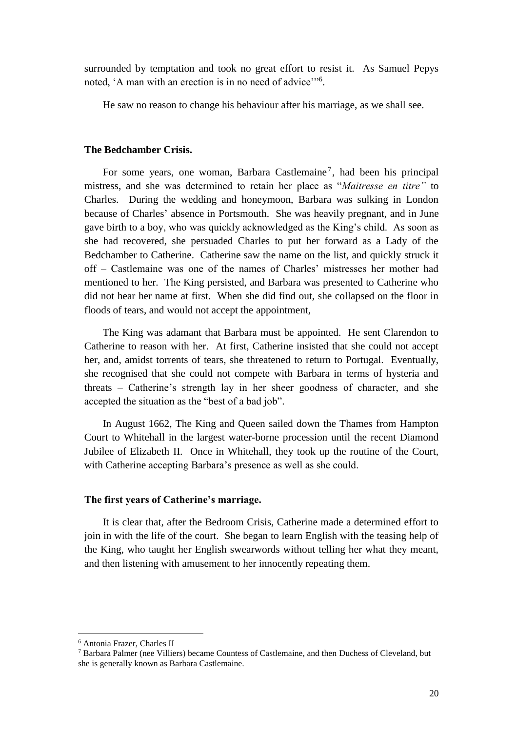surrounded by temptation and took no great effort to resist it. As Samuel Pepys noted, 'A man with an erection is in no need of advice"<sup>6</sup>.

He saw no reason to change his behaviour after his marriage, as we shall see.

# **The Bedchamber Crisis.**

For some years, one woman, Barbara Castlemaine<sup>7</sup>, had been his principal mistress, and she was determined to retain her place as "*Maitresse en titre"* to Charles. During the wedding and honeymoon, Barbara was sulking in London because of Charles' absence in Portsmouth. She was heavily pregnant, and in June gave birth to a boy, who was quickly acknowledged as the King's child. As soon as she had recovered, she persuaded Charles to put her forward as a Lady of the Bedchamber to Catherine. Catherine saw the name on the list, and quickly struck it off – Castlemaine was one of the names of Charles' mistresses her mother had mentioned to her. The King persisted, and Barbara was presented to Catherine who did not hear her name at first. When she did find out, she collapsed on the floor in floods of tears, and would not accept the appointment,

The King was adamant that Barbara must be appointed. He sent Clarendon to Catherine to reason with her. At first, Catherine insisted that she could not accept her, and, amidst torrents of tears, she threatened to return to Portugal. Eventually, she recognised that she could not compete with Barbara in terms of hysteria and threats – Catherine's strength lay in her sheer goodness of character, and she accepted the situation as the "best of a bad job".

In August 1662, The King and Queen sailed down the Thames from Hampton Court to Whitehall in the largest water-borne procession until the recent Diamond Jubilee of Elizabeth II. Once in Whitehall, they took up the routine of the Court, with Catherine accepting Barbara's presence as well as she could.

## **The first years of Catherine's marriage.**

It is clear that, after the Bedroom Crisis, Catherine made a determined effort to join in with the life of the court. She began to learn English with the teasing help of the King, who taught her English swearwords without telling her what they meant, and then listening with amusement to her innocently repeating them.

<sup>6</sup> Antonia Frazer, Charles II

<sup>7</sup> Barbara Palmer (nee Villiers) became Countess of Castlemaine, and then Duchess of Cleveland, but she is generally known as Barbara Castlemaine.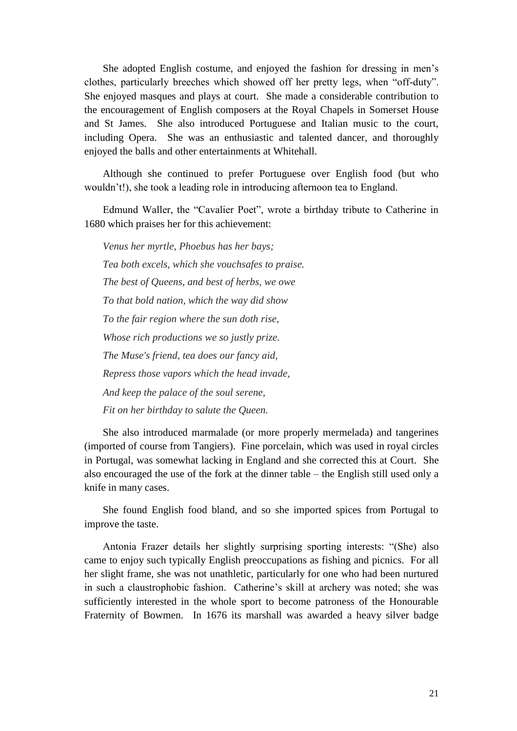She adopted English costume, and enjoyed the fashion for dressing in men's clothes, particularly breeches which showed off her pretty legs, when "off-duty". She enjoyed masques and plays at court. She made a considerable contribution to the encouragement of English composers at the Royal Chapels in Somerset House and St James. She also introduced Portuguese and Italian music to the court, including Opera. She was an enthusiastic and talented dancer, and thoroughly enjoyed the balls and other entertainments at Whitehall.

Although she continued to prefer Portuguese over English food (but who wouldn't!), she took a leading role in introducing afternoon tea to England.

Edmund Waller, the "Cavalier Poet", wrote a birthday tribute to Catherine in 1680 which praises her for this achievement:

*Venus her myrtle, Phoebus has her bays; Tea both excels, which she vouchsafes to praise. The best of Queens, and best of herbs, we owe To that bold nation, which the way did show To the fair region where the sun doth rise, Whose rich productions we so justly prize. The Muse's friend, tea does our fancy aid, Repress those vapors which the head invade, And keep the palace of the soul serene, Fit on her birthday to salute the Queen.*

She also introduced marmalade (or more properly mermelada) and tangerines (imported of course from Tangiers). Fine porcelain, which was used in royal circles in Portugal, was somewhat lacking in England and she corrected this at Court. She also encouraged the use of the fork at the dinner table – the English still used only a knife in many cases.

She found English food bland, and so she imported spices from Portugal to improve the taste.

Antonia Frazer details her slightly surprising sporting interests: "(She) also came to enjoy such typically English preoccupations as fishing and picnics. For all her slight frame, she was not unathletic, particularly for one who had been nurtured in such a claustrophobic fashion. Catherine's skill at archery was noted; she was sufficiently interested in the whole sport to become patroness of the Honourable Fraternity of Bowmen. In 1676 its marshall was awarded a heavy silver badge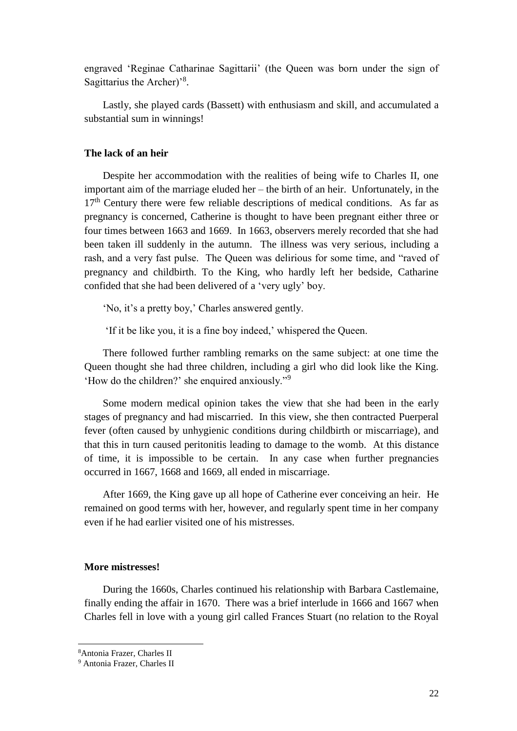engraved 'Reginae Catharinae Sagittarii' (the Queen was born under the sign of Sagittarius the Archer)'<sup>8</sup>.

Lastly, she played cards (Bassett) with enthusiasm and skill, and accumulated a substantial sum in winnings!

### **The lack of an heir**

Despite her accommodation with the realities of being wife to Charles II, one important aim of the marriage eluded her – the birth of an heir. Unfortunately, in the  $17<sup>th</sup>$  Century there were few reliable descriptions of medical conditions. As far as pregnancy is concerned, Catherine is thought to have been pregnant either three or four times between 1663 and 1669. In 1663, observers merely recorded that she had been taken ill suddenly in the autumn. The illness was very serious, including a rash, and a very fast pulse. The Queen was delirious for some time, and "raved of pregnancy and childbirth. To the King, who hardly left her bedside, Catharine confided that she had been delivered of a 'very ugly' boy.

'No, it's a pretty boy,' Charles answered gently.

'If it be like you, it is a fine boy indeed,' whispered the Queen.

There followed further rambling remarks on the same subject: at one time the Queen thought she had three children, including a girl who did look like the King. 'How do the children?' she enquired anxiously."<sup>9</sup>

Some modern medical opinion takes the view that she had been in the early stages of pregnancy and had miscarried. In this view, she then contracted Puerperal fever (often caused by unhygienic conditions during childbirth or miscarriage), and that this in turn caused peritonitis leading to damage to the womb. At this distance of time, it is impossible to be certain. In any case when further pregnancies occurred in 1667, 1668 and 1669, all ended in miscarriage.

After 1669, the King gave up all hope of Catherine ever conceiving an heir. He remained on good terms with her, however, and regularly spent time in her company even if he had earlier visited one of his mistresses.

# **More mistresses!**

During the 1660s, Charles continued his relationship with Barbara Castlemaine, finally ending the affair in 1670. There was a brief interlude in 1666 and 1667 when Charles fell in love with a young girl called Frances Stuart (no relation to the Royal

<sup>8</sup>Antonia Frazer, Charles II

<sup>9</sup> Antonia Frazer, Charles II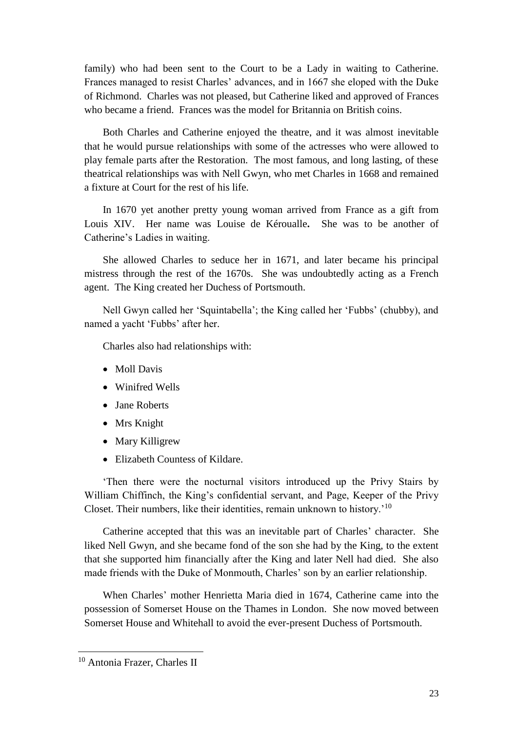family) who had been sent to the Court to be a Lady in waiting to Catherine. Frances managed to resist Charles' advances, and in 1667 she eloped with the Duke of Richmond. Charles was not pleased, but Catherine liked and approved of Frances who became a friend. Frances was the model for Britannia on British coins.

Both Charles and Catherine enjoyed the theatre, and it was almost inevitable that he would pursue relationships with some of the actresses who were allowed to play female parts after the Restoration. The most famous, and long lasting, of these theatrical relationships was with Nell Gwyn, who met Charles in 1668 and remained a fixture at Court for the rest of his life.

In 1670 yet another pretty young woman arrived from France as a gift from Louis XIV. Her name was Louise de Kéroualle**.** She was to be another of Catherine's Ladies in waiting.

She allowed Charles to seduce her in 1671, and later became his principal mistress through the rest of the 1670s. She was undoubtedly acting as a French agent. The King created her Duchess of Portsmouth.

Nell Gwyn called her 'Squintabella'; the King called her 'Fubbs' (chubby), and named a yacht 'Fubbs' after her.

Charles also had relationships with:

- Moll Davis
- Winifred Wells
- Jane Roberts
- Mrs Knight
- Mary Killigrew
- Elizabeth Countess of Kildare.

'Then there were the nocturnal visitors introduced up the Privy Stairs by William Chiffinch, the King's confidential servant, and Page, Keeper of the Privy Closet. Their numbers, like their identities, remain unknown to history.'<sup>10</sup>

Catherine accepted that this was an inevitable part of Charles' character. She liked Nell Gwyn, and she became fond of the son she had by the King, to the extent that she supported him financially after the King and later Nell had died. She also made friends with the Duke of Monmouth, Charles' son by an earlier relationship.

When Charles' mother Henrietta Maria died in 1674, Catherine came into the possession of Somerset House on the Thames in London. She now moved between Somerset House and Whitehall to avoid the ever-present Duchess of Portsmouth.

<sup>&</sup>lt;sup>10</sup> Antonia Frazer, Charles II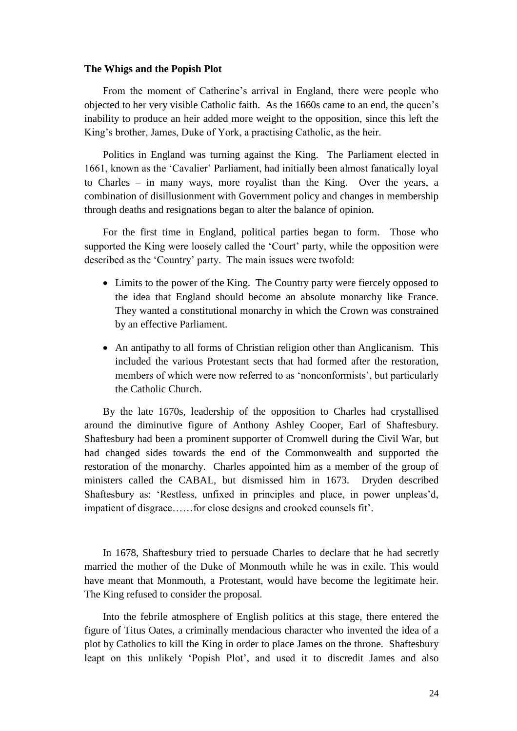### **The Whigs and the Popish Plot**

From the moment of Catherine's arrival in England, there were people who objected to her very visible Catholic faith. As the 1660s came to an end, the queen's inability to produce an heir added more weight to the opposition, since this left the King's brother, James, Duke of York, a practising Catholic, as the heir.

Politics in England was turning against the King. The Parliament elected in 1661, known as the 'Cavalier' Parliament, had initially been almost fanatically loyal to Charles – in many ways, more royalist than the King. Over the years, a combination of disillusionment with Government policy and changes in membership through deaths and resignations began to alter the balance of opinion.

For the first time in England, political parties began to form. Those who supported the King were loosely called the 'Court' party, while the opposition were described as the 'Country' party. The main issues were twofold:

- Limits to the power of the King. The Country party were fiercely opposed to the idea that England should become an absolute monarchy like France. They wanted a constitutional monarchy in which the Crown was constrained by an effective Parliament.
- An antipathy to all forms of Christian religion other than Anglicanism. This included the various Protestant sects that had formed after the restoration, members of which were now referred to as 'nonconformists', but particularly the Catholic Church.

By the late 1670s, leadership of the opposition to Charles had crystallised around the diminutive figure of Anthony Ashley Cooper, Earl of Shaftesbury. Shaftesbury had been a prominent supporter of Cromwell during the Civil War, but had changed sides towards the end of the Commonwealth and supported the restoration of the monarchy. Charles appointed him as a member of the group of ministers called the CABAL, but dismissed him in 1673. Dryden described Shaftesbury as: 'Restless, unfixed in principles and place, in power unpleas'd, impatient of disgrace……for close designs and crooked counsels fit'.

In 1678, Shaftesbury tried to persuade Charles to declare that he had secretly married the mother of the Duke of Monmouth while he was in exile. This would have meant that Monmouth, a Protestant, would have become the legitimate heir. The King refused to consider the proposal.

Into the febrile atmosphere of English politics at this stage, there entered the figure of Titus Oates, a criminally mendacious character who invented the idea of a plot by Catholics to kill the King in order to place James on the throne. Shaftesbury leapt on this unlikely 'Popish Plot', and used it to discredit James and also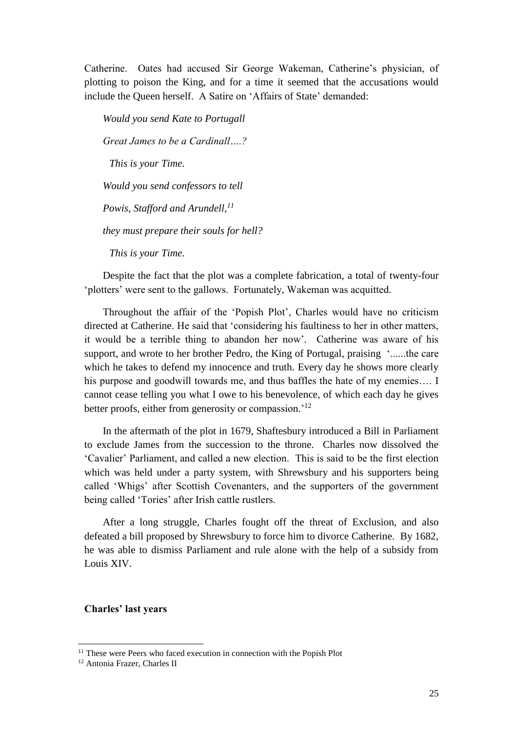Catherine. Oates had accused Sir George Wakeman, Catherine's physician, of plotting to poison the King, and for a time it seemed that the accusations would include the Queen herself. A Satire on 'Affairs of State' demanded:

*Would you send Kate to Portugall Great James to be a Cardinall….? This is your Time. Would you send confessors to tell Powis, Stafford and Arundell,<sup>11</sup> they must prepare their souls for hell? This is your Time.* 

Despite the fact that the plot was a complete fabrication, a total of twenty-four 'plotters' were sent to the gallows. Fortunately, Wakeman was acquitted.

Throughout the affair of the 'Popish Plot', Charles would have no criticism directed at Catherine. He said that 'considering his faultiness to her in other matters, it would be a terrible thing to abandon her now'. Catherine was aware of his support, and wrote to her brother Pedro, the King of Portugal, praising '......the care which he takes to defend my innocence and truth. Every day he shows more clearly his purpose and goodwill towards me, and thus baffles the hate of my enemies.... I cannot cease telling you what I owe to his benevolence, of which each day he gives better proofs, either from generosity or compassion.<sup>'12</sup>

In the aftermath of the plot in 1679, Shaftesbury introduced a Bill in Parliament to exclude James from the succession to the throne. Charles now dissolved the 'Cavalier' Parliament, and called a new election. This is said to be the first election which was held under a party system, with Shrewsbury and his supporters being called 'Whigs' after Scottish Covenanters, and the supporters of the government being called 'Tories' after Irish cattle rustlers.

After a long struggle, Charles fought off the threat of Exclusion, and also defeated a bill proposed by Shrewsbury to force him to divorce Catherine. By 1682, he was able to dismiss Parliament and rule alone with the help of a subsidy from Louis XIV.

### **Charles' last years**

<sup>&</sup>lt;sup>11</sup> These were Peers who faced execution in connection with the Popish Plot

<sup>&</sup>lt;sup>12</sup> Antonia Frazer, Charles II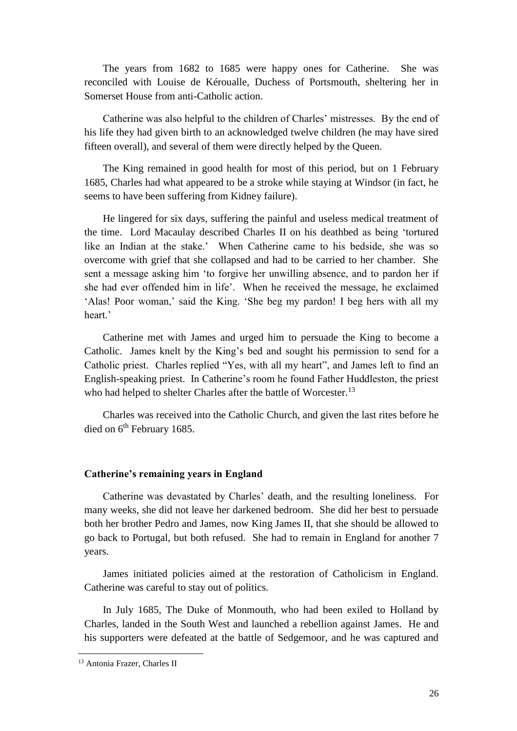The years from 1682 to 1685 were happy ones for Catherine. She was reconciled with Louise de Kéroualle, Duchess of Portsmouth, sheltering her in Somerset House from anti-Catholic action.

Catherine was also helpful to the children of Charles' mistresses. By the end of his life they had given birth to an acknowledged twelve children (he may have sired fifteen overall), and several of them were directly helped by the Queen.

The King remained in good health for most of this period, but on 1 February 1685, Charles had what appeared to be a stroke while staying at Windsor (in fact, he seems to have been suffering from Kidney failure).

He lingered for six days, suffering the painful and useless medical treatment of the time. Lord Macaulay described Charles II on his deathbed as being 'tortured like an Indian at the stake.' When Catherine came to his bedside, she was so overcome with grief that she collapsed and had to be carried to her chamber. She sent a message asking him 'to forgive her unwilling absence, and to pardon her if she had ever offended him in life'. When he received the message, he exclaimed 'Alas! Poor woman,' said the King. 'She beg my pardon! I beg hers with all my heart<sup>'</sup>

Catherine met with James and urged him to persuade the King to become a Catholic. James knelt by the King's bed and sought his permission to send for a Catholic priest. Charles replied "Yes, with all my heart", and James left to find an English-speaking priest. In Catherine's room he found Father Huddleston, the priest who had helped to shelter Charles after the battle of Worcester.<sup>13</sup>

Charles was received into the Catholic Church, and given the last rites before he died on 6<sup>th</sup> February 1685.

## **Catherine's remaining years in England**

Catherine was devastated by Charles' death, and the resulting loneliness. For many weeks, she did not leave her darkened bedroom. She did her best to persuade both her brother Pedro and James, now King James II, that she should be allowed to go back to Portugal, but both refused. She had to remain in England for another 7 years.

James initiated policies aimed at the restoration of Catholicism in England. Catherine was careful to stay out of politics.

In July 1685, The Duke of Monmouth, who had been exiled to Holland by Charles, landed in the South West and launched a rebellion against James. He and his supporters were defeated at the battle of Sedgemoor, and he was captured and

<sup>&</sup>lt;sup>13</sup> Antonia Frazer, Charles II